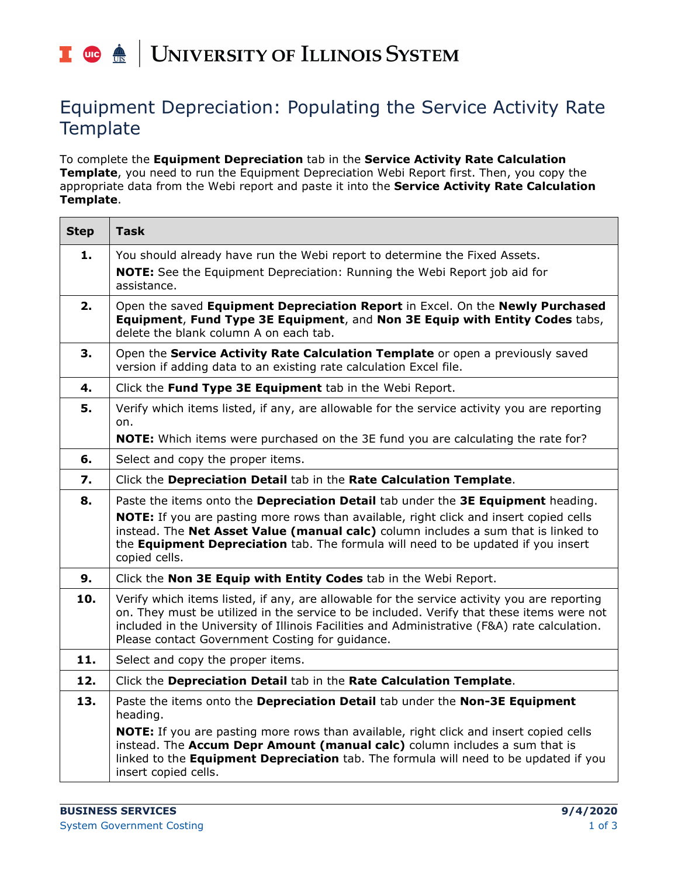## | UNIVERSITY OF ILLINOIS SYSTEM T due de

## Equipment Depreciation: Populating the Service Activity Rate **Template**

To complete the **Equipment Depreciation** tab in the **Service Activity Rate Calculation Template**, you need to run the Equipment Depreciation Webi Report first. Then, you copy the appropriate data from the Webi report and paste it into the **Service Activity Rate Calculation Template**.

| <b>Step</b> | <b>Task</b>                                                                                                                                                                                                                                                                                                                                 |
|-------------|---------------------------------------------------------------------------------------------------------------------------------------------------------------------------------------------------------------------------------------------------------------------------------------------------------------------------------------------|
| 1.          | You should already have run the Webi report to determine the Fixed Assets.<br>NOTE: See the Equipment Depreciation: Running the Webi Report job aid for<br>assistance.                                                                                                                                                                      |
| 2.          | Open the saved Equipment Depreciation Report in Excel. On the Newly Purchased<br>Equipment, Fund Type 3E Equipment, and Non 3E Equip with Entity Codes tabs,<br>delete the blank column A on each tab.                                                                                                                                      |
| 3.          | Open the Service Activity Rate Calculation Template or open a previously saved<br>version if adding data to an existing rate calculation Excel file.                                                                                                                                                                                        |
| 4.          | Click the Fund Type 3E Equipment tab in the Webi Report.                                                                                                                                                                                                                                                                                    |
| 5.          | Verify which items listed, if any, are allowable for the service activity you are reporting<br>on.                                                                                                                                                                                                                                          |
|             | <b>NOTE:</b> Which items were purchased on the 3E fund you are calculating the rate for?                                                                                                                                                                                                                                                    |
| 6.          | Select and copy the proper items.                                                                                                                                                                                                                                                                                                           |
| 7.          | Click the Depreciation Detail tab in the Rate Calculation Template.                                                                                                                                                                                                                                                                         |
| 8.          | Paste the items onto the Depreciation Detail tab under the 3E Equipment heading.                                                                                                                                                                                                                                                            |
|             | <b>NOTE:</b> If you are pasting more rows than available, right click and insert copied cells<br>instead. The Net Asset Value (manual calc) column includes a sum that is linked to<br>the Equipment Depreciation tab. The formula will need to be updated if you insert<br>copied cells.                                                   |
| 9.          | Click the Non 3E Equip with Entity Codes tab in the Webi Report.                                                                                                                                                                                                                                                                            |
| 10.         | Verify which items listed, if any, are allowable for the service activity you are reporting<br>on. They must be utilized in the service to be included. Verify that these items were not<br>included in the University of Illinois Facilities and Administrative (F&A) rate calculation.<br>Please contact Government Costing for guidance. |
| 11.         | Select and copy the proper items.                                                                                                                                                                                                                                                                                                           |
| 12.         | Click the Depreciation Detail tab in the Rate Calculation Template.                                                                                                                                                                                                                                                                         |
| 13.         | Paste the items onto the Depreciation Detail tab under the Non-3E Equipment<br>heading.                                                                                                                                                                                                                                                     |
|             | <b>NOTE:</b> If you are pasting more rows than available, right click and insert copied cells<br>instead. The Accum Depr Amount (manual calc) column includes a sum that is<br>linked to the Equipment Depreciation tab. The formula will need to be updated if you<br>insert copied cells.                                                 |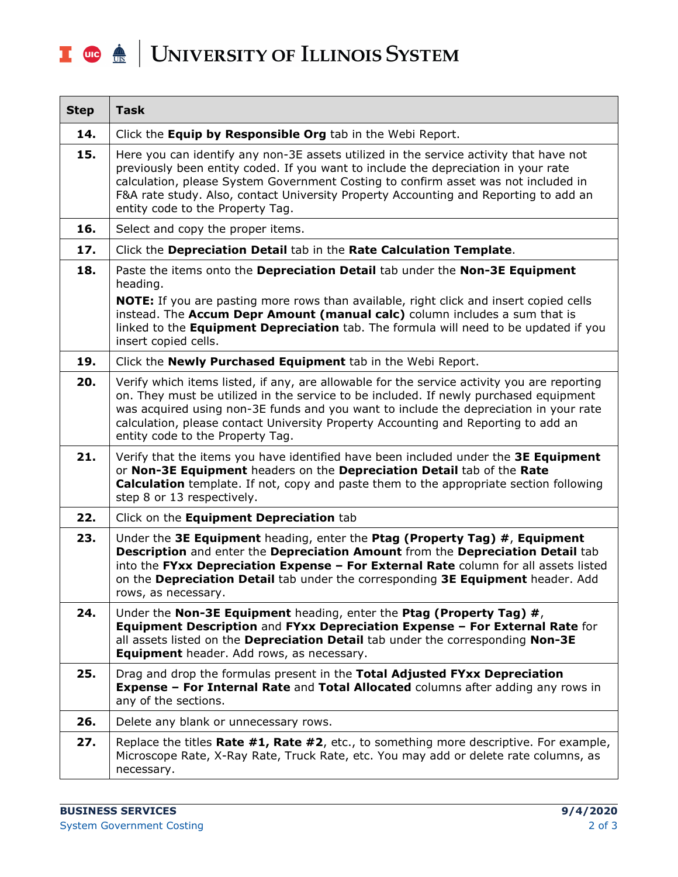## I **C**  $\triangle$  UNIVERSITY OF ILLINOIS SYSTEM

| <b>Step</b> | <b>Task</b>                                                                                                                                                                                                                                                                                                                                                                                             |
|-------------|---------------------------------------------------------------------------------------------------------------------------------------------------------------------------------------------------------------------------------------------------------------------------------------------------------------------------------------------------------------------------------------------------------|
| 14.         | Click the Equip by Responsible Org tab in the Webi Report.                                                                                                                                                                                                                                                                                                                                              |
| 15.         | Here you can identify any non-3E assets utilized in the service activity that have not<br>previously been entity coded. If you want to include the depreciation in your rate<br>calculation, please System Government Costing to confirm asset was not included in<br>F&A rate study. Also, contact University Property Accounting and Reporting to add an<br>entity code to the Property Tag.          |
| 16.         | Select and copy the proper items.                                                                                                                                                                                                                                                                                                                                                                       |
| 17.         | Click the Depreciation Detail tab in the Rate Calculation Template.                                                                                                                                                                                                                                                                                                                                     |
| 18.         | Paste the items onto the Depreciation Detail tab under the Non-3E Equipment<br>heading.<br><b>NOTE:</b> If you are pasting more rows than available, right click and insert copied cells<br>instead. The Accum Depr Amount (manual calc) column includes a sum that is<br>linked to the Equipment Depreciation tab. The formula will need to be updated if you<br>insert copied cells.                  |
| 19.         | Click the Newly Purchased Equipment tab in the Webi Report.                                                                                                                                                                                                                                                                                                                                             |
| 20.         | Verify which items listed, if any, are allowable for the service activity you are reporting<br>on. They must be utilized in the service to be included. If newly purchased equipment<br>was acquired using non-3E funds and you want to include the depreciation in your rate<br>calculation, please contact University Property Accounting and Reporting to add an<br>entity code to the Property Tag. |
| 21.         | Verify that the items you have identified have been included under the 3E Equipment<br>or Non-3E Equipment headers on the Depreciation Detail tab of the Rate<br><b>Calculation</b> template. If not, copy and paste them to the appropriate section following<br>step 8 or 13 respectively.                                                                                                            |
| 22.         | Click on the Equipment Depreciation tab                                                                                                                                                                                                                                                                                                                                                                 |
| 23.         | Under the 3E Equipment heading, enter the Ptag (Property Tag) #, Equipment<br>Description and enter the Depreciation Amount from the Depreciation Detail tab<br>into the FYxx Depreciation Expense - For External Rate column for all assets listed<br>on the Depreciation Detail tab under the corresponding 3E Equipment header. Add<br>rows, as necessary.                                           |
| 24.         | Under the Non-3E Equipment heading, enter the Ptag (Property Tag) $#$ ,<br>Equipment Description and FYxx Depreciation Expense - For External Rate for<br>all assets listed on the Depreciation Detail tab under the corresponding Non-3E<br>Equipment header. Add rows, as necessary.                                                                                                                  |
| 25.         | Drag and drop the formulas present in the Total Adjusted FYxx Depreciation<br>Expense - For Internal Rate and Total Allocated columns after adding any rows in<br>any of the sections.                                                                                                                                                                                                                  |
| 26.         | Delete any blank or unnecessary rows.                                                                                                                                                                                                                                                                                                                                                                   |
| 27.         | Replace the titles <b>Rate #1, Rate #2</b> , etc., to something more descriptive. For example,<br>Microscope Rate, X-Ray Rate, Truck Rate, etc. You may add or delete rate columns, as<br>necessary.                                                                                                                                                                                                    |